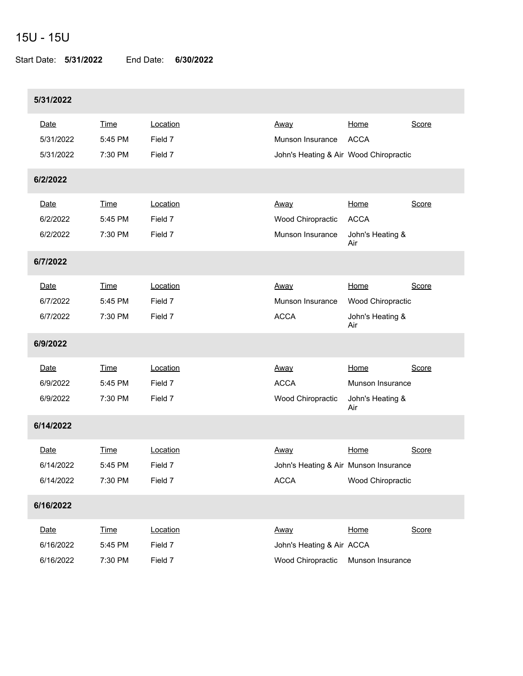## 15U - 15U

Start Date: **5/31/2022** End Date: **6/30/2022**

| 5/31/2022                      |                                   |                                |                                                                    |                                                            |       |
|--------------------------------|-----------------------------------|--------------------------------|--------------------------------------------------------------------|------------------------------------------------------------|-------|
| Date<br>5/31/2022<br>5/31/2022 | <b>Time</b><br>5:45 PM<br>7:30 PM | Location<br>Field 7<br>Field 7 | Away<br>Munson Insurance<br>John's Heating & Air Wood Chiropractic | Home<br><b>ACCA</b>                                        | Score |
| 6/2/2022                       |                                   |                                |                                                                    |                                                            |       |
| Date<br>6/2/2022<br>6/2/2022   | <b>Time</b><br>5:45 PM<br>7:30 PM | Location<br>Field 7<br>Field 7 | Away<br>Wood Chiropractic<br>Munson Insurance                      | Home<br><b>ACCA</b><br>John's Heating &<br>Air             | Score |
| 6/7/2022                       |                                   |                                |                                                                    |                                                            |       |
| Date<br>6/7/2022<br>6/7/2022   | <b>Time</b><br>5:45 PM<br>7:30 PM | Location<br>Field 7<br>Field 7 | Away<br>Munson Insurance<br><b>ACCA</b>                            | Home<br>Wood Chiropractic<br>John's Heating &<br>Air       | Score |
| 6/9/2022                       |                                   |                                |                                                                    |                                                            |       |
| Date<br>6/9/2022<br>6/9/2022   | <b>Time</b><br>5:45 PM<br>7:30 PM | Location<br>Field 7<br>Field 7 | Away<br><b>ACCA</b><br>Wood Chiropractic                           | Home<br><b>Munson Insurance</b><br>John's Heating &<br>Air | Score |
| 6/14/2022                      |                                   |                                |                                                                    |                                                            |       |
| Date<br>6/14/2022<br>6/14/2022 | <b>Time</b><br>5:45 PM<br>7:30 PM | Location<br>Field 7<br>Field 7 | Away<br>John's Heating & Air Munson Insurance<br><b>ACCA</b>       | Home<br>Wood Chiropractic                                  | Score |
| 6/16/2022                      |                                   |                                |                                                                    |                                                            |       |
| Date<br>6/16/2022<br>6/16/2022 | <b>Time</b><br>5:45 PM<br>7:30 PM | Location<br>Field 7<br>Field 7 | Away<br>John's Heating & Air ACCA<br>Wood Chiropractic             | Home<br>Munson Insurance                                   | Score |